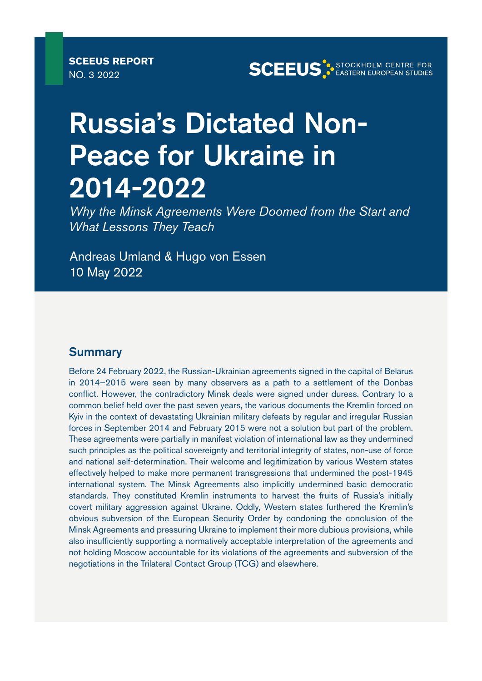# Russia's Dictated Non-Peace for Ukraine in 2014-2022

*Why the Minsk Agreements Were Doomed from the Start and What Lessons They Teach*

Andreas Umland & Hugo von Essen 10 May 2022

#### **Summary**

Before 24 February 2022, the Russian-Ukrainian agreements signed in the capital of Belarus in 2014–2015 were seen by many observers as a path to a settlement of the Donbas conflict. However, the contradictory Minsk deals were signed under duress. Contrary to a common belief held over the past seven years, the various documents the Kremlin forced on Kyiv in the context of devastating Ukrainian military defeats by regular and irregular Russian forces in September 2014 and February 2015 were not a solution but part of the problem. These agreements were partially in manifest violation of international law as they undermined such principles as the political sovereignty and territorial integrity of states, non-use of force and national self-determination. Their welcome and legitimization by various Western states effectively helped to make more permanent transgressions that undermined the post-1945 international system. The Minsk Agreements also implicitly undermined basic democratic standards. They constituted Kremlin instruments to harvest the fruits of Russia's initially covert military aggression against Ukraine. Oddly, Western states furthered the Kremlin's obvious subversion of the European Security Order by condoning the conclusion of the Minsk Agreements and pressuring Ukraine to implement their more dubious provisions, while also insufficiently supporting a normatively acceptable interpretation of the agreements and not holding Moscow accountable for its violations of the agreements and subversion of the negotiations in the Trilateral Contact Group (TCG) and elsewhere.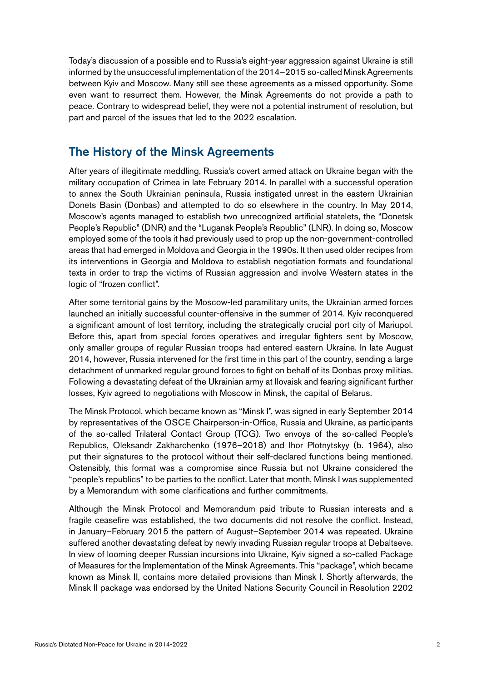Today's discussion of a possible end to Russia's eight-year aggression against Ukraine is still informed by the unsuccessful implementation of the 2014–2015 so-called Minsk Agreements between Kyiv and Moscow. Many still see these agreements as a missed opportunity. Some even want to resurrect them. However, the Minsk Agreements do not provide a path to peace. Contrary to widespread belief, they were not a potential instrument of resolution, but part and parcel of the issues that led to the 2022 escalation.

## The History of the Minsk Agreements

After years of illegitimate meddling, Russia's covert armed attack on Ukraine began with the military occupation of Crimea in late February 2014. In parallel with a successful operation to annex the South Ukrainian peninsula, Russia instigated unrest in the eastern Ukrainian Donets Basin (Donbas) and attempted to do so elsewhere in the country. In May 2014, Moscow's agents managed to establish two unrecognized artificial statelets, the "Donetsk People's Republic" (DNR) and the "Lugansk People's Republic" (LNR). In doing so, Moscow employed some of the tools it had previously used to prop up the non-government-controlled areas that had emerged in Moldova and Georgia in the 1990s. It then used older recipes from its interventions in Georgia and Moldova to establish negotiation formats and foundational texts in order to trap the victims of Russian aggression and involve Western states in the logic of "frozen conflict".

After some territorial gains by the Moscow-led paramilitary units, the Ukrainian armed forces launched an initially successful counter-offensive in the summer of 2014. Kyiv reconquered a significant amount of lost territory, including the strategically crucial port city of Mariupol. Before this, apart from special forces operatives and irregular fighters sent by Moscow, only smaller groups of regular Russian troops had entered eastern Ukraine. In late August 2014, however, Russia intervened for the first time in this part of the country, sending a large detachment of unmarked regular ground forces to fight on behalf of its Donbas proxy militias. Following a devastating defeat of the Ukrainian army at Ilovaisk and fearing significant further losses, Kyiv agreed to negotiations with Moscow in Minsk, the capital of Belarus.

The Minsk Protocol, which became known as "Minsk I", was signed in early September 2014 by representatives of the OSCE Chairperson-in-Office, Russia and Ukraine, as participants of the so-called Trilateral Contact Group (TCG). Two envoys of the so-called People's Republics, Oleksandr Zakharchenko (1976–2018) and Ihor Plotnytskyy (b. 1964), also put their signatures to the protocol without their self-declared functions being mentioned. Ostensibly, this format was a compromise since Russia but not Ukraine considered the "people's republics" to be parties to the conflict. Later that month, Minsk I was supplemented by a Memorandum with some clarifications and further commitments.

Although the Minsk Protocol and Memorandum paid tribute to Russian interests and a fragile ceasefire was established, the two documents did not resolve the conflict. Instead, in January–February 2015 the pattern of August–September 2014 was repeated. Ukraine suffered another devastating defeat by newly invading Russian regular troops at Debaltseve. In view of looming deeper Russian incursions into Ukraine, Kyiv signed a so-called Package of Measures for the Implementation of the Minsk Agreements. This "package", which became known as Minsk II, contains more detailed provisions than Minsk I. Shortly afterwards, the Minsk II package was endorsed by the United Nations Security Council in Resolution 2202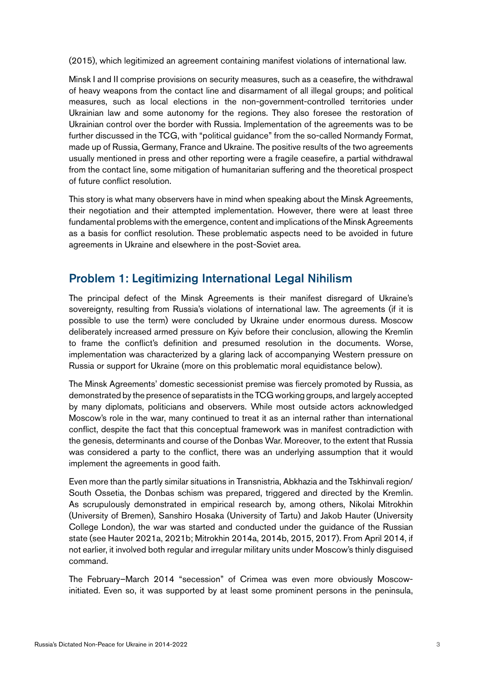(2015), which legitimized an agreement containing manifest violations of international law.

Minsk I and II comprise provisions on security measures, such as a ceasefire, the withdrawal of heavy weapons from the contact line and disarmament of all illegal groups; and political measures, such as local elections in the non-government-controlled territories under Ukrainian law and some autonomy for the regions. They also foresee the restoration of Ukrainian control over the border with Russia. Implementation of the agreements was to be further discussed in the TCG, with "political guidance" from the so-called Normandy Format, made up of Russia, Germany, France and Ukraine. The positive results of the two agreements usually mentioned in press and other reporting were a fragile ceasefire, a partial withdrawal from the contact line, some mitigation of humanitarian suffering and the theoretical prospect of future conflict resolution.

This story is what many observers have in mind when speaking about the Minsk Agreements, their negotiation and their attempted implementation. However, there were at least three fundamental problems with the emergence, content and implications of the Minsk Agreements as a basis for conflict resolution. These problematic aspects need to be avoided in future agreements in Ukraine and elsewhere in the post-Soviet area.

## Problem 1: Legitimizing International Legal Nihilism

The principal defect of the Minsk Agreements is their manifest disregard of Ukraine's sovereignty, resulting from Russia's violations of international law. The agreements (if it is possible to use the term) were concluded by Ukraine under enormous duress. Moscow deliberately increased armed pressure on Kyiv before their conclusion, allowing the Kremlin to frame the conflict's definition and presumed resolution in the documents. Worse, implementation was characterized by a glaring lack of accompanying Western pressure on Russia or support for Ukraine (more on this problematic moral equidistance below).

The Minsk Agreements' domestic secessionist premise was fiercely promoted by Russia, as demonstrated by the presence of separatists in the TCG working groups, and largely accepted by many diplomats, politicians and observers. While most outside actors acknowledged Moscow's role in the war, many continued to treat it as an internal rather than international conflict, despite the fact that this conceptual framework was in manifest contradiction with the genesis, determinants and course of the Donbas War. Moreover, to the extent that Russia was considered a party to the conflict, there was an underlying assumption that it would implement the agreements in good faith.

Even more than the partly similar situations in Transnistria, Abkhazia and the Tskhinvali region/ South Ossetia, the Donbas schism was prepared, triggered and directed by the Kremlin. As scrupulously demonstrated in empirical research by, among others, Nikolai Mitrokhin (University of Bremen), Sanshiro Hosaka (University of Tartu) and Jakob Hauter (University College London), the war was started and conducted under the guidance of the Russian state (see Hauter 2021a, 2021b; Mitrokhin 2014a, 2014b, 2015, 2017). From April 2014, if not earlier, it involved both regular and irregular military units under Moscow's thinly disguised command.

The February–March 2014 "secession" of Crimea was even more obviously Moscowinitiated. Even so, it was supported by at least some prominent persons in the peninsula,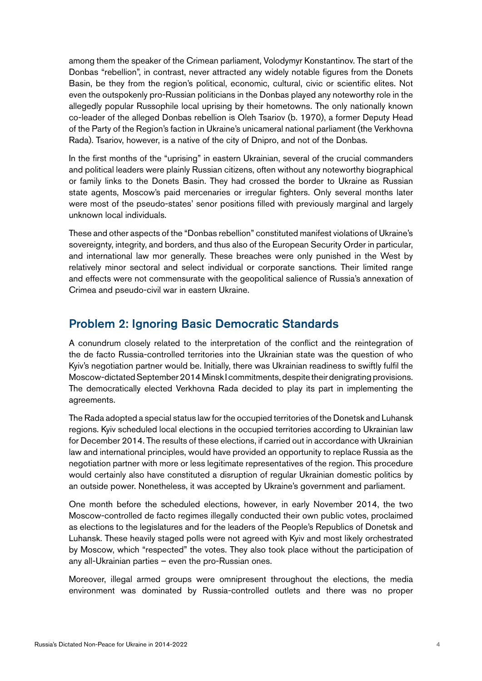among them the speaker of the Crimean parliament, Volodymyr Konstantinov. The start of the Donbas "rebellion", in contrast, never attracted any widely notable figures from the Donets Basin, be they from the region's political, economic, cultural, civic or scientific elites. Not even the outspokenly pro-Russian politicians in the Donbas played any noteworthy role in the allegedly popular Russophile local uprising by their hometowns. The only nationally known co-leader of the alleged Donbas rebellion is Oleh Tsariov (b. 1970), a former Deputy Head of the Party of the Region's faction in Ukraine's unicameral national parliament (the Verkhovna Rada). Tsariov, however, is a native of the city of Dnipro, and not of the Donbas.

In the first months of the "uprising" in eastern Ukrainian, several of the crucial commanders and political leaders were plainly Russian citizens, often without any noteworthy biographical or family links to the Donets Basin. They had crossed the border to Ukraine as Russian state agents, Moscow's paid mercenaries or irregular fighters. Only several months later were most of the pseudo-states' senor positions filled with previously marginal and largely unknown local individuals.

These and other aspects of the "Donbas rebellion" constituted manifest violations of Ukraine's sovereignty, integrity, and borders, and thus also of the European Security Order in particular, and international law mor generally. These breaches were only punished in the West by relatively minor sectoral and select individual or corporate sanctions. Their limited range and effects were not commensurate with the geopolitical salience of Russia's annexation of Crimea and pseudo-civil war in eastern Ukraine.

#### Problem 2: Ignoring Basic Democratic Standards

A conundrum closely related to the interpretation of the conflict and the reintegration of the de facto Russia-controlled territories into the Ukrainian state was the question of who Kyiv's negotiation partner would be. Initially, there was Ukrainian readiness to swiftly fulfil the Moscow-dictated September 2014 Minsk I commitments, despite their denigrating provisions. The democratically elected Verkhovna Rada decided to play its part in implementing the agreements.

The Rada adopted a special status law for the occupied territories of the Donetsk and Luhansk regions. Kyiv scheduled local elections in the occupied territories according to Ukrainian law for December 2014. The results of these elections, if carried out in accordance with Ukrainian law and international principles, would have provided an opportunity to replace Russia as the negotiation partner with more or less legitimate representatives of the region. This procedure would certainly also have constituted a disruption of regular Ukrainian domestic politics by an outside power. Nonetheless, it was accepted by Ukraine's government and parliament.

One month before the scheduled elections, however, in early November 2014, the two Moscow-controlled de facto regimes illegally conducted their own public votes, proclaimed as elections to the legislatures and for the leaders of the People's Republics of Donetsk and Luhansk. These heavily staged polls were not agreed with Kyiv and most likely orchestrated by Moscow, which "respected" the votes. They also took place without the participation of any all-Ukrainian parties – even the pro-Russian ones.

Moreover, illegal armed groups were omnipresent throughout the elections, the media environment was dominated by Russia-controlled outlets and there was no proper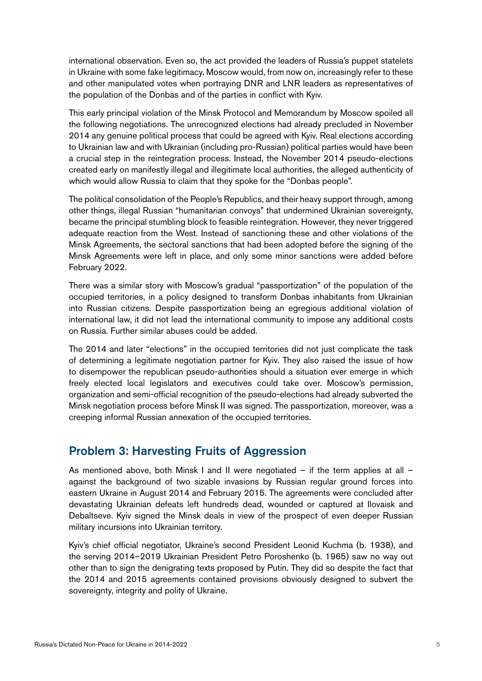international observation. Even so, the act provided the leaders of Russia's puppet statelets in Ukraine with some fake legitimacy. Moscow would, from now on, increasingly refer to these and other manipulated votes when portraying DNR and LNR leaders as representatives of the population of the Donbas and of the parties in conflict with Kyiv.

This early principal violation of the Minsk Protocol and Memorandum by Moscow spoiled all the following negotiations. The unrecognized elections had already precluded in November 2014 any genuine political process that could be agreed with Kyiv. Real elections according to Ukrainian law and with Ukrainian (including pro-Russian) political parties would have been a crucial step in the reintegration process. Instead, the November 2014 pseudo-elections created early on manifestly illegal and illegitimate local authorities, the alleged authenticity of which would allow Russia to claim that they spoke for the "Donbas people".

The political consolidation of the People's Republics, and their heavy support through, among other things, illegal Russian "humanitarian convoys" that undermined Ukrainian sovereignty, became the principal stumbling block to feasible reintegration. However, they never triggered adequate reaction from the West. Instead of sanctioning these and other violations of the Minsk Agreements, the sectoral sanctions that had been adopted before the signing of the Minsk Agreements were left in place, and only some minor sanctions were added before February 2022.

There was a similar story with Moscow's gradual "passportization" of the population of the occupied territories, in a policy designed to transform Donbas inhabitants from Ukrainian into Russian citizens. Despite passportization being an egregious additional violation of international law, it did not lead the international community to impose any additional costs on Russia. Further similar abuses could be added.

The 2014 and later "elections" in the occupied territories did not just complicate the task of determining a legitimate negotiation partner for Kyiv. They also raised the issue of how to disempower the republican pseudo-authorities should a situation ever emerge in which freely elected local legislators and executives could take over. Moscow's permission, organization and semi-official recognition of the pseudo-elections had already subverted the Minsk negotiation process before Minsk II was signed. The passportization, moreover, was a creeping informal Russian annexation of the occupied territories.

### Problem 3: Harvesting Fruits of Aggression

As mentioned above, both Minsk I and II were negotiated – if the term applies at all – against the background of two sizable invasions by Russian regular ground forces into eastern Ukraine in August 2014 and February 2015. The agreements were concluded after devastating Ukrainian defeats left hundreds dead, wounded or captured at Ilovaisk and Debaltseve. Kyiv signed the Minsk deals in view of the prospect of even deeper Russian military incursions into Ukrainian territory.

Kyiv's chief official negotiator, Ukraine's second President Leonid Kuchma (b. 1938), and the serving 2014–2019 Ukrainian President Petro Poroshenko (b. 1965) saw no way out other than to sign the denigrating texts proposed by Putin. They did so despite the fact that the 2014 and 2015 agreements contained provisions obviously designed to subvert the sovereignty, integrity and polity of Ukraine.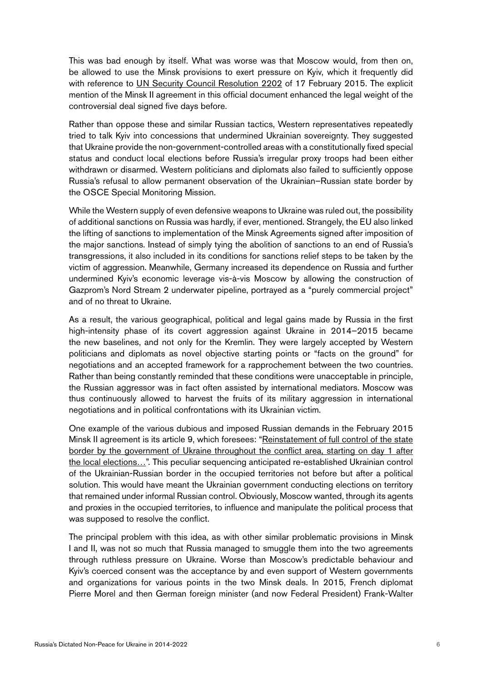This was bad enough by itself. What was worse was that Moscow would, from then on, be allowed to use the Minsk provisions to exert pressure on Kyiv, which it frequently did with reference to [UN Security Council Resolution 2202](https://www.un.org/depts/german/sr/sr_14-15/sr2202.pdf) of 17 February 2015. The explicit mention of the Minsk II agreement in this official document enhanced the legal weight of the controversial deal signed five days before.

Rather than oppose these and similar Russian tactics, Western representatives repeatedly tried to talk Kyiv into concessions that undermined Ukrainian sovereignty. They suggested that Ukraine provide the non-government-controlled areas with a constitutionally fixed special status and conduct local elections before Russia's irregular proxy troops had been either withdrawn or disarmed. Western politicians and diplomats also failed to sufficiently oppose Russia's refusal to allow permanent observation of the Ukrainian–Russian state border by the OSCE Special Monitoring Mission.

While the Western supply of even defensive weapons to Ukraine was ruled out, the possibility of additional sanctions on Russia was hardly, if ever, mentioned. Strangely, the EU also linked the lifting of sanctions to implementation of the Minsk Agreements signed after imposition of the major sanctions. Instead of simply tying the abolition of sanctions to an end of Russia's transgressions, it also included in its conditions for sanctions relief steps to be taken by the victim of aggression. Meanwhile, Germany increased its dependence on Russia and further undermined Kyiv's economic leverage vis-à-vis Moscow by allowing the construction of Gazprom's Nord Stream 2 underwater pipeline, portrayed as a "purely commercial project" and of no threat to Ukraine.

As a result, the various geographical, political and legal gains made by Russia in the first high-intensity phase of its covert aggression against Ukraine in 2014–2015 became the new baselines, and not only for the Kremlin. They were largely accepted by Western politicians and diplomats as novel objective starting points or "facts on the ground" for negotiations and an accepted framework for a rapprochement between the two countries. Rather than being constantly reminded that these conditions were unacceptable in principle, the Russian aggressor was in fact often assisted by international mediators. Moscow was thus continuously allowed to harvest the fruits of its military aggression in international negotiations and in political confrontations with its Ukrainian victim.

One example of the various dubious and imposed Russian demands in the February 2015 Minsk II agreement is its article 9, which foresees: "[Reinstatement of full control of the state](C:\Users\25493-103\AppData\Local\Microsoft\Windows\INetCache\Content.Outlook\XWRYLWV7\peacemaker.un.org\sites\peacemaker.un.org\files\UA_150212_MinskAgreement_en.pdf) [border by the government of Ukraine throughout the conflict area, starting on day 1 after](C:\Users\25493-103\AppData\Local\Microsoft\Windows\INetCache\Content.Outlook\XWRYLWV7\peacemaker.un.org\sites\peacemaker.un.org\files\UA_150212_MinskAgreement_en.pdf) [the local elections…](C:\Users\25493-103\AppData\Local\Microsoft\Windows\INetCache\Content.Outlook\XWRYLWV7\peacemaker.un.org\sites\peacemaker.un.org\files\UA_150212_MinskAgreement_en.pdf)". This peculiar sequencing anticipated re-established Ukrainian control of the Ukrainian-Russian border in the occupied territories not before but after a political solution. This would have meant the Ukrainian government conducting elections on territory that remained under informal Russian control. Obviously, Moscow wanted, through its agents and proxies in the occupied territories, to influence and manipulate the political process that was supposed to resolve the conflict.

The principal problem with this idea, as with other similar problematic provisions in Minsk I and II, was not so much that Russia managed to smuggle them into the two agreements through ruthless pressure on Ukraine. Worse than Moscow's predictable behaviour and Kyiv's coerced consent was the acceptance by and even support of Western governments and organizations for various points in the two Minsk deals. In 2015, French diplomat Pierre Morel and then German foreign minister (and now Federal President) Frank-Walter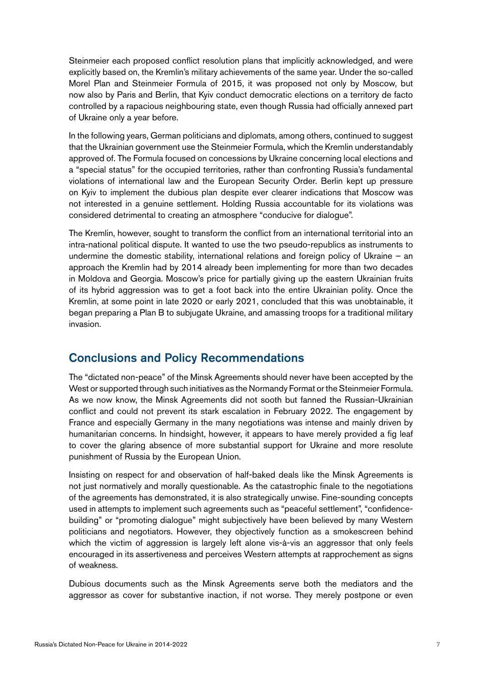Steinmeier each proposed conflict resolution plans that implicitly acknowledged, and were explicitly based on, the Kremlin's military achievements of the same year. Under the so-called Morel Plan and Steinmeier Formula of 2015, it was proposed not only by Moscow, but now also by Paris and Berlin, that Kyiv conduct democratic elections on a territory de facto controlled by a rapacious neighbouring state, even though Russia had officially annexed part of Ukraine only a year before.

In the following years, German politicians and diplomats, among others, continued to suggest that the Ukrainian government use the Steinmeier Formula, which the Kremlin understandably approved of. The Formula focused on concessions by Ukraine concerning local elections and a "special status" for the occupied territories, rather than confronting Russia's fundamental violations of international law and the European Security Order. Berlin kept up pressure on Kyiv to implement the dubious plan despite ever clearer indications that Moscow was not interested in a genuine settlement. Holding Russia accountable for its violations was considered detrimental to creating an atmosphere "conducive for dialogue".

The Kremlin, however, sought to transform the conflict from an international territorial into an intra-national political dispute. It wanted to use the two pseudo-republics as instruments to undermine the domestic stability, international relations and foreign policy of Ukraine – an approach the Kremlin had by 2014 already been implementing for more than two decades in Moldova and Georgia. Moscow's price for partially giving up the eastern Ukrainian fruits of its hybrid aggression was to get a foot back into the entire Ukrainian polity. Once the Kremlin, at some point in late 2020 or early 2021, concluded that this was unobtainable, it began preparing a Plan B to subjugate Ukraine, and amassing troops for a traditional military invasion.

### Conclusions and Policy Recommendations

The "dictated non-peace" of the Minsk Agreements should never have been accepted by the West or supported through such initiatives as the Normandy Format or the Steinmeier Formula. As we now know, the Minsk Agreements did not sooth but fanned the Russian-Ukrainian conflict and could not prevent its stark escalation in February 2022. The engagement by France and especially Germany in the many negotiations was intense and mainly driven by humanitarian concerns. In hindsight, however, it appears to have merely provided a fig leaf to cover the glaring absence of more substantial support for Ukraine and more resolute punishment of Russia by the European Union.

Insisting on respect for and observation of half-baked deals like the Minsk Agreements is not just normatively and morally questionable. As the catastrophic finale to the negotiations of the agreements has demonstrated, it is also strategically unwise. Fine-sounding concepts used in attempts to implement such agreements such as "peaceful settlement", "confidencebuilding" or "promoting dialogue" might subjectively have been believed by many Western politicians and negotiators. However, they objectively function as a smokescreen behind which the victim of aggression is largely left alone vis-à-vis an aggressor that only feels encouraged in its assertiveness and perceives Western attempts at rapprochement as signs of weakness.

Dubious documents such as the Minsk Agreements serve both the mediators and the aggressor as cover for substantive inaction, if not worse. They merely postpone or even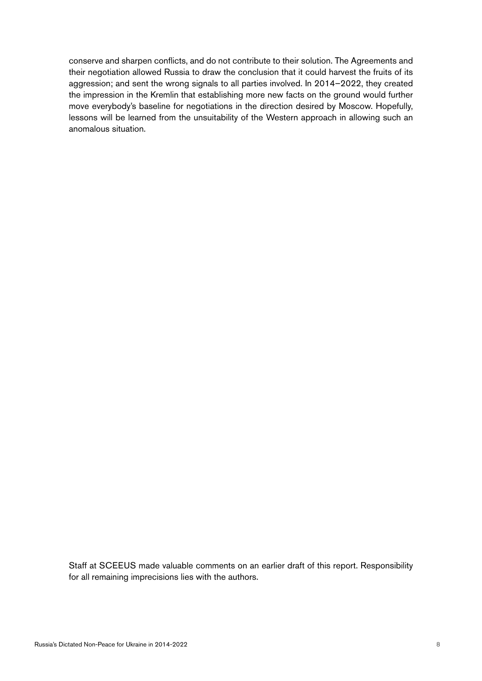conserve and sharpen conflicts, and do not contribute to their solution. The Agreements and their negotiation allowed Russia to draw the conclusion that it could harvest the fruits of its aggression; and sent the wrong signals to all parties involved. In 2014–2022, they created the impression in the Kremlin that establishing more new facts on the ground would further move everybody's baseline for negotiations in the direction desired by Moscow. Hopefully, lessons will be learned from the unsuitability of the Western approach in allowing such an anomalous situation.

Staff at SCEEUS made valuable comments on an earlier draft of this report. Responsibility for all remaining imprecisions lies with the authors.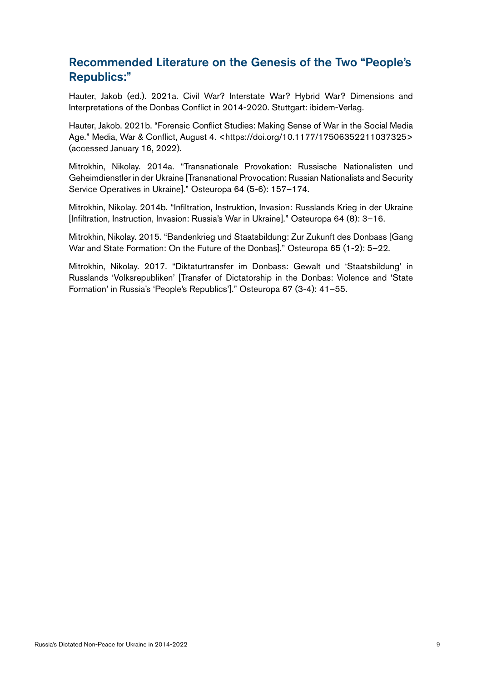# Recommended Literature on the Genesis of the Two "People's Republics:"

Hauter, Jakob (ed.). 2021a. Civil War? Interstate War? Hybrid War? Dimensions and Interpretations of the Donbas Conflict in 2014-2020. Stuttgart: ibidem-Verlag.

Hauter, Jakob. 2021b. "Forensic Conflict Studies: Making Sense of War in the Social Media Age." Media, War & Conflict, August 4. [<https://doi.org/10.1177/17506352211037325](https://doi.org/10.1177/17506352211037325)> (accessed January 16, 2022).

Mitrokhin, Nikolay. 2014a. "Transnationale Provokation: Russische Nationalisten und Geheimdienstler in der Ukraine [Transnational Provocation: Russian Nationalists and Security Service Operatives in Ukraine]." Osteuropa 64 (5-6): 157–174.

Mitrokhin, Nikolay. 2014b. "Infiltration, Instruktion, Invasion: Russlands Krieg in der Ukraine [Infiltration, Instruction, Invasion: Russia's War in Ukraine]." Osteuropa 64 (8): 3–16.

Mitrokhin, Nikolay. 2015. "Bandenkrieg und Staatsbildung: Zur Zukunft des Donbass [Gang War and State Formation: On the Future of the Donbas]." Osteuropa 65 (1-2): 5–22.

Mitrokhin, Nikolay. 2017. "Diktaturtransfer im Donbass: Gewalt und 'Staatsbildung' in Russlands 'Volksrepubliken' [Transfer of Dictatorship in the Donbas: Violence and 'State Formation' in Russia's 'People's Republics']." Osteuropa 67 (3-4): 41–55.